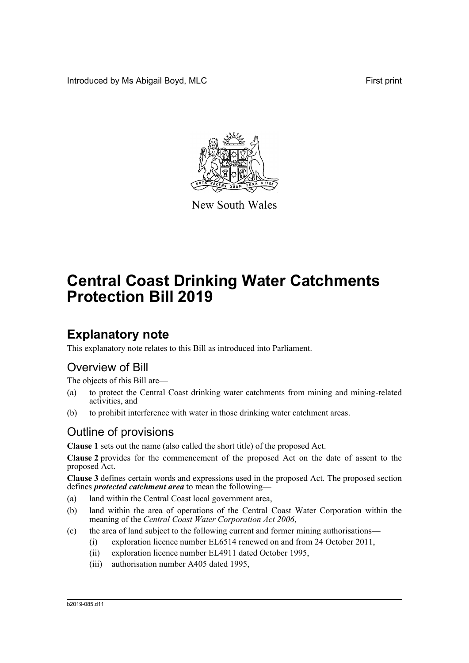Introduced by Ms Abigail Boyd, MLC **First print** 



New South Wales

# **Central Coast Drinking Water Catchments Protection Bill 2019**

# **Explanatory note**

This explanatory note relates to this Bill as introduced into Parliament.

## Overview of Bill

The objects of this Bill are—

- (a) to protect the Central Coast drinking water catchments from mining and mining-related activities, and
- (b) to prohibit interference with water in those drinking water catchment areas.

## Outline of provisions

**Clause 1** sets out the name (also called the short title) of the proposed Act.

**Clause 2** provides for the commencement of the proposed Act on the date of assent to the proposed Act.

**Clause 3** defines certain words and expressions used in the proposed Act. The proposed section defines *protected catchment area* to mean the following—

- (a) land within the Central Coast local government area,
- (b) land within the area of operations of the Central Coast Water Corporation within the meaning of the *Central Coast Water Corporation Act 2006*,
- (c) the area of land subject to the following current and former mining authorisations—
	- (i) exploration licence number EL6514 renewed on and from 24 October 2011,
	- (ii) exploration licence number EL4911 dated October 1995,
	- (iii) authorisation number A405 dated 1995,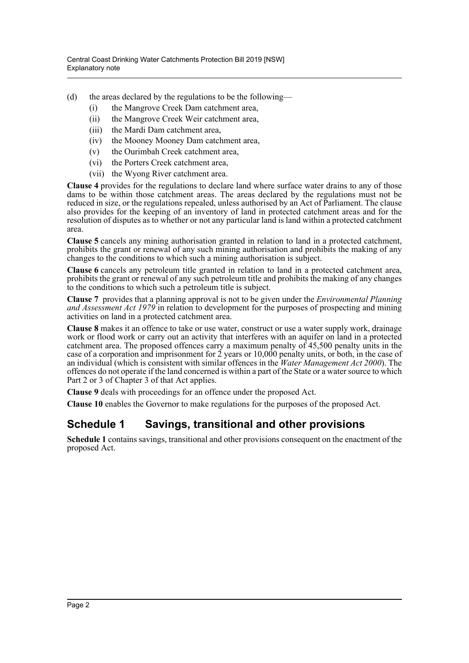- (d) the areas declared by the regulations to be the following—
	- (i) the Mangrove Creek Dam catchment area,
	- (ii) the Mangrove Creek Weir catchment area,
	- (iii) the Mardi Dam catchment area,
	- (iv) the Mooney Mooney Dam catchment area,
	- (v) the Ourimbah Creek catchment area,
	- (vi) the Porters Creek catchment area,
	- (vii) the Wyong River catchment area.

**Clause 4** provides for the regulations to declare land where surface water drains to any of those dams to be within those catchment areas. The areas declared by the regulations must not be reduced in size, or the regulations repealed, unless authorised by an Act of Parliament. The clause also provides for the keeping of an inventory of land in protected catchment areas and for the resolution of disputes as to whether or not any particular land is land within a protected catchment area.

**Clause 5** cancels any mining authorisation granted in relation to land in a protected catchment, prohibits the grant or renewal of any such mining authorisation and prohibits the making of any changes to the conditions to which such a mining authorisation is subject.

**Clause 6** cancels any petroleum title granted in relation to land in a protected catchment area, prohibits the grant or renewal of any such petroleum title and prohibits the making of any changes to the conditions to which such a petroleum title is subject.

**Clause 7** provides that a planning approval is not to be given under the *Environmental Planning and Assessment Act 1979* in relation to development for the purposes of prospecting and mining activities on land in a protected catchment area.

**Clause 8** makes it an offence to take or use water, construct or use a water supply work, drainage work or flood work or carry out an activity that interferes with an aquifer on land in a protected catchment area. The proposed offences carry a maximum penalty of 45,500 penalty units in the case of a corporation and imprisonment for 2 years or 10,000 penalty units, or both, in the case of an individual (which is consistent with similar offences in the *Water Management Act 2000*). The offences do not operate if the land concerned is within a part of the State or a water source to which Part 2 or 3 of Chapter 3 of that Act applies.

**Clause 9** deals with proceedings for an offence under the proposed Act.

**Clause 10** enables the Governor to make regulations for the purposes of the proposed Act.

### **Schedule 1 Savings, transitional and other provisions**

**Schedule 1** contains savings, transitional and other provisions consequent on the enactment of the proposed Act.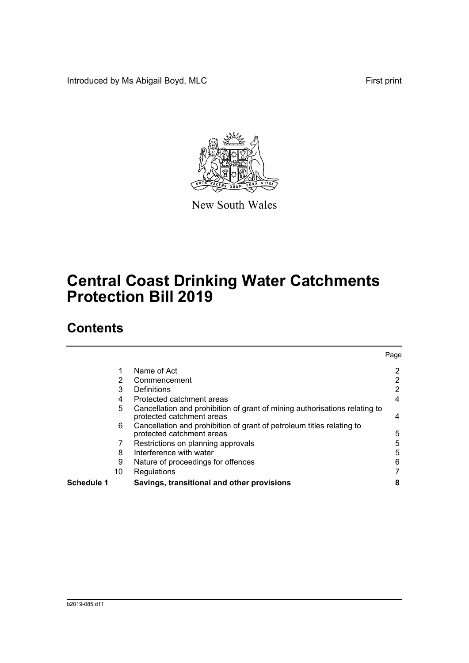Introduced by Ms Abigail Boyd, MLC **First print** 



New South Wales

# **Central Coast Drinking Water Catchments Protection Bill 2019**

## **Contents**

|            |    |                                                                                                         | Page |
|------------|----|---------------------------------------------------------------------------------------------------------|------|
|            |    | Name of Act                                                                                             | 2    |
|            | 2  | Commencement                                                                                            | 2    |
|            | 3  | Definitions                                                                                             | 2    |
|            | 4  | Protected catchment areas                                                                               | 4    |
|            | 5  | Cancellation and prohibition of grant of mining authorisations relating to<br>protected catchment areas | 4    |
|            | 6  | Cancellation and prohibition of grant of petroleum titles relating to<br>protected catchment areas      | 5    |
|            |    | Restrictions on planning approvals                                                                      | 5    |
|            | 8  | Interference with water                                                                                 | 5    |
|            | 9  | Nature of proceedings for offences                                                                      | 6    |
|            | 10 | Regulations                                                                                             |      |
| Schedule 1 |    | Savings, transitional and other provisions                                                              | 8    |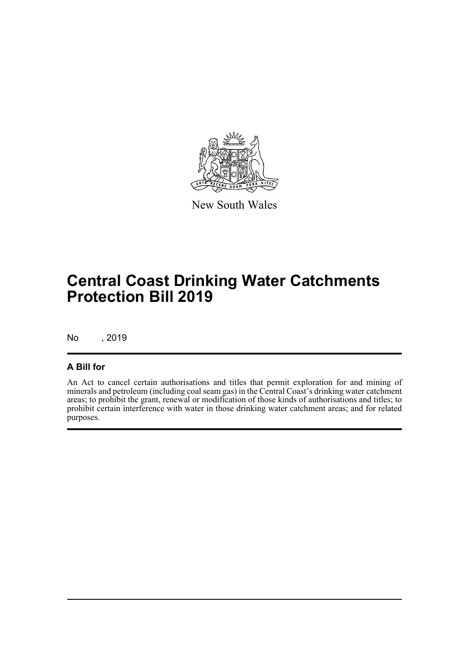

New South Wales

# **Central Coast Drinking Water Catchments Protection Bill 2019**

No , 2019

#### **A Bill for**

An Act to cancel certain authorisations and titles that permit exploration for and mining of minerals and petroleum (including coal seam gas) in the Central Coast's drinking water catchment areas; to prohibit the grant, renewal or modification of those kinds of authorisations and titles; to prohibit certain interference with water in those drinking water catchment areas; and for related purposes.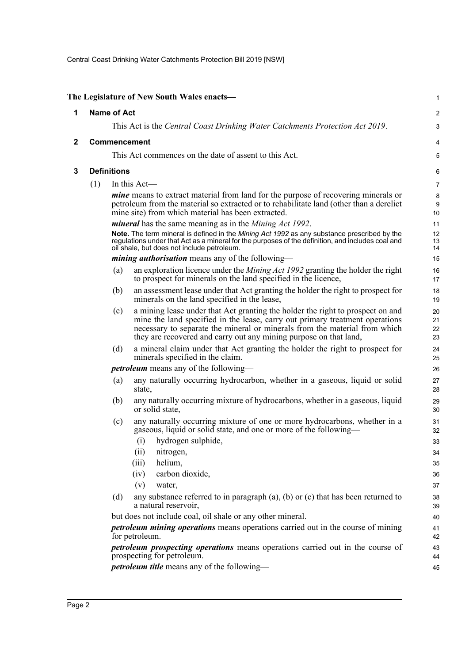Central Coast Drinking Water Catchments Protection Bill 2019 [NSW]

<span id="page-4-2"></span><span id="page-4-1"></span><span id="page-4-0"></span>

|              |     |                    | The Legislature of New South Wales enacts-                                                                                                                                                                                                                                                                        | 1                    |
|--------------|-----|--------------------|-------------------------------------------------------------------------------------------------------------------------------------------------------------------------------------------------------------------------------------------------------------------------------------------------------------------|----------------------|
| 1            |     | <b>Name of Act</b> |                                                                                                                                                                                                                                                                                                                   | $\boldsymbol{2}$     |
|              |     |                    | This Act is the Central Coast Drinking Water Catchments Protection Act 2019.                                                                                                                                                                                                                                      | 3                    |
| $\mathbf{2}$ |     |                    | <b>Commencement</b>                                                                                                                                                                                                                                                                                               | 4                    |
|              |     |                    | This Act commences on the date of assent to this Act.                                                                                                                                                                                                                                                             | 5                    |
| 3            |     | <b>Definitions</b> |                                                                                                                                                                                                                                                                                                                   | 6                    |
|              | (1) |                    | In this Act-                                                                                                                                                                                                                                                                                                      | $\overline{7}$       |
|              |     |                    | mine means to extract material from land for the purpose of recovering minerals or<br>petroleum from the material so extracted or to rehabilitate land (other than a derelict<br>mine site) from which material has been extracted.                                                                               | 8<br>9<br>10         |
|              |     |                    | <i>mineral</i> has the same meaning as in the <i>Mining Act 1992</i> .                                                                                                                                                                                                                                            | 11                   |
|              |     |                    | Note. The term mineral is defined in the Mining Act 1992 as any substance prescribed by the<br>regulations under that Act as a mineral for the purposes of the definition, and includes coal and<br>oil shale, but does not include petroleum.                                                                    | 12<br>13<br>14       |
|              |     |                    | <i>mining authorisation</i> means any of the following—                                                                                                                                                                                                                                                           | 15                   |
|              |     | (a)                | an exploration licence under the <i>Mining Act 1992</i> granting the holder the right<br>to prospect for minerals on the land specified in the licence,                                                                                                                                                           | 16<br>17             |
|              |     | (b)                | an assessment lease under that Act granting the holder the right to prospect for<br>minerals on the land specified in the lease,                                                                                                                                                                                  | 18<br>19             |
|              |     | (c)                | a mining lease under that Act granting the holder the right to prospect on and<br>mine the land specified in the lease, carry out primary treatment operations<br>necessary to separate the mineral or minerals from the material from which<br>they are recovered and carry out any mining purpose on that land, | 20<br>21<br>22<br>23 |
|              |     | (d)                | a mineral claim under that Act granting the holder the right to prospect for<br>minerals specified in the claim.                                                                                                                                                                                                  | 24<br>25             |
|              |     |                    | <i>petroleum</i> means any of the following—                                                                                                                                                                                                                                                                      | 26                   |
|              |     | (a)                | any naturally occurring hydrocarbon, whether in a gaseous, liquid or solid<br>state,                                                                                                                                                                                                                              | 27<br>28             |
|              |     | (b)                | any naturally occurring mixture of hydrocarbons, whether in a gaseous, liquid<br>or solid state,                                                                                                                                                                                                                  | 29<br>30             |
|              |     | (c)                | any naturally occurring mixture of one or more hydrocarbons, whether in a<br>gaseous, liquid or solid state, and one or more of the following—                                                                                                                                                                    | 31<br>32             |
|              |     |                    | (i) hydrogen sulphide,                                                                                                                                                                                                                                                                                            | 33                   |
|              |     |                    | (ii)<br>nitrogen,<br>helium,                                                                                                                                                                                                                                                                                      | 34                   |
|              |     |                    | (iii)<br>carbon dioxide,<br>(iv)                                                                                                                                                                                                                                                                                  | 35<br>36             |
|              |     |                    | (v)<br>water,                                                                                                                                                                                                                                                                                                     | 37                   |
|              |     | (d)                | any substance referred to in paragraph $(a)$ , $(b)$ or $(c)$ that has been returned to<br>a natural reservoir,                                                                                                                                                                                                   | 38<br>39             |
|              |     |                    | but does not include coal, oil shale or any other mineral.                                                                                                                                                                                                                                                        | 40                   |
|              |     |                    | <i>petroleum mining operations</i> means operations carried out in the course of mining<br>for petroleum.                                                                                                                                                                                                         | 41<br>42             |
|              |     |                    | <i>petroleum prospecting operations</i> means operations carried out in the course of<br>prospecting for petroleum.                                                                                                                                                                                               | 43<br>44             |
|              |     |                    | petroleum title means any of the following-                                                                                                                                                                                                                                                                       | 45                   |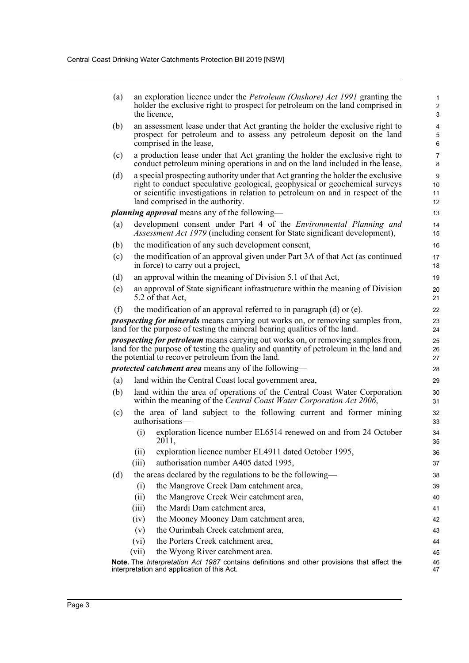| (a) | an exploration licence under the <i>Petroleum (Onshore) Act 1991</i> granting the                                                                                                                                                                                                     | $\mathbf{1}$            |
|-----|---------------------------------------------------------------------------------------------------------------------------------------------------------------------------------------------------------------------------------------------------------------------------------------|-------------------------|
|     | holder the exclusive right to prospect for petroleum on the land comprised in<br>the licence,                                                                                                                                                                                         | $\overline{2}$<br>3     |
| (b) | an assessment lease under that Act granting the holder the exclusive right to                                                                                                                                                                                                         | $\overline{\mathbf{4}}$ |
|     | prospect for petroleum and to assess any petroleum deposit on the land<br>comprised in the lease,                                                                                                                                                                                     | $\mathbf 5$<br>6        |
| (c) | a production lease under that Act granting the holder the exclusive right to<br>conduct petroleum mining operations in and on the land included in the lease,                                                                                                                         | $\overline{7}$<br>8     |
| (d) | a special prospecting authority under that Act granting the holder the exclusive<br>right to conduct speculative geological, geophysical or geochemical surveys<br>or scientific investigations in relation to petroleum on and in respect of the<br>land comprised in the authority. | 9<br>10<br>11<br>12     |
|     | <i>planning approval</i> means any of the following—                                                                                                                                                                                                                                  | 13                      |
| (a) | development consent under Part 4 of the <i>Environmental Planning and</i><br>Assessment Act 1979 (including consent for State significant development),                                                                                                                               | 14<br>15                |
| (b) | the modification of any such development consent,                                                                                                                                                                                                                                     | 16                      |
| (c) | the modification of an approval given under Part 3A of that Act (as continued<br>in force) to carry out a project,                                                                                                                                                                    | 17<br>18                |
| (d) | an approval within the meaning of Division 5.1 of that Act,                                                                                                                                                                                                                           | 19                      |
| (e) | an approval of State significant infrastructure within the meaning of Division<br>5.2 of that Act,                                                                                                                                                                                    | 20<br>21                |
| (f) | the modification of an approval referred to in paragraph $(d)$ or $(e)$ .                                                                                                                                                                                                             | 22                      |
|     | <i>prospecting for minerals</i> means carrying out works on, or removing samples from,<br>land for the purpose of testing the mineral bearing qualities of the land.                                                                                                                  | 23<br>24                |
|     | <i>prospecting for petroleum</i> means carrying out works on, or removing samples from,<br>land for the purpose of testing the quality and quantity of petroleum in the land and<br>the potential to recover petroleum from the land.                                                 | 25<br>26<br>27          |
|     | <i>protected catchment area</i> means any of the following—                                                                                                                                                                                                                           | 28                      |
| (a) | land within the Central Coast local government area,                                                                                                                                                                                                                                  | 29                      |
| (b) | land within the area of operations of the Central Coast Water Corporation<br>within the meaning of the Central Coast Water Corporation Act 2006,                                                                                                                                      | 30<br>31                |
| (c) | the area of land subject to the following current and former mining<br>authorisations-                                                                                                                                                                                                | 32<br>33                |
|     | (i)<br>exploration licence number EL6514 renewed on and from 24 October<br>2011.                                                                                                                                                                                                      | 34<br>35                |
|     | exploration licence number EL4911 dated October 1995,<br>(ii)                                                                                                                                                                                                                         | 36                      |
|     | (iii)<br>authorisation number A405 dated 1995,                                                                                                                                                                                                                                        | 37                      |
| (d) | the areas declared by the regulations to be the following—                                                                                                                                                                                                                            | 38                      |
|     | the Mangrove Creek Dam catchment area,<br>(i)                                                                                                                                                                                                                                         | 39                      |
|     | the Mangrove Creek Weir catchment area,<br>(ii)                                                                                                                                                                                                                                       | 40                      |
|     | the Mardi Dam catchment area,<br>(iii)                                                                                                                                                                                                                                                | 41                      |
|     | the Mooney Mooney Dam catchment area,<br>(iv)                                                                                                                                                                                                                                         | 42                      |
|     | the Ourimbah Creek catchment area,<br>(v)                                                                                                                                                                                                                                             | 43                      |
|     | the Porters Creek catchment area,<br>(vi)                                                                                                                                                                                                                                             | 44                      |
|     | the Wyong River catchment area.<br>(vii)                                                                                                                                                                                                                                              | 45                      |
|     | Note. The Interpretation Act 1987 contains definitions and other provisions that affect the<br>interpretation and application of this Act.                                                                                                                                            | 46<br>47                |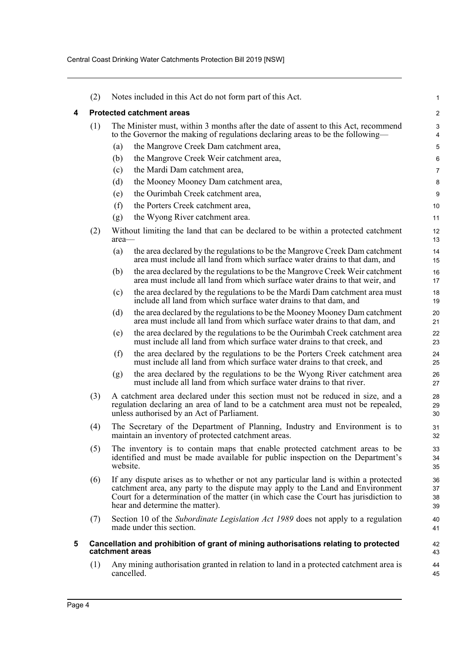<span id="page-6-1"></span><span id="page-6-0"></span>

|                 | (2) |                                                                                                                                    | Notes included in this Act do not form part of this Act.                                                                                                                                                                                                                                          | 1                    |
|-----------------|-----|------------------------------------------------------------------------------------------------------------------------------------|---------------------------------------------------------------------------------------------------------------------------------------------------------------------------------------------------------------------------------------------------------------------------------------------------|----------------------|
| 4               |     |                                                                                                                                    | <b>Protected catchment areas</b>                                                                                                                                                                                                                                                                  | $\overline{2}$       |
|                 | (1) |                                                                                                                                    | The Minister must, within 3 months after the date of assent to this Act, recommend                                                                                                                                                                                                                | 3                    |
|                 |     |                                                                                                                                    | to the Governor the making of regulations declaring areas to be the following—<br>the Mangrove Creek Dam catchment area,                                                                                                                                                                          | 4                    |
|                 |     | (a)<br>(b)                                                                                                                         | the Mangrove Creek Weir catchment area,                                                                                                                                                                                                                                                           | 5<br>6               |
|                 |     | (c)                                                                                                                                | the Mardi Dam catchment area,                                                                                                                                                                                                                                                                     | 7                    |
|                 |     | (d)                                                                                                                                | the Mooney Mooney Dam catchment area,                                                                                                                                                                                                                                                             | 8                    |
|                 |     | (e)                                                                                                                                | the Ourimbah Creek catchment area,                                                                                                                                                                                                                                                                | 9                    |
|                 |     | (f)                                                                                                                                | the Porters Creek catchment area,                                                                                                                                                                                                                                                                 | 10                   |
|                 |     | (g)                                                                                                                                | the Wyong River catchment area.                                                                                                                                                                                                                                                                   | 11                   |
|                 | (2) | area—                                                                                                                              | Without limiting the land that can be declared to be within a protected catchment                                                                                                                                                                                                                 | 12<br>13             |
|                 |     | (a)                                                                                                                                | the area declared by the regulations to be the Mangrove Creek Dam catchment<br>area must include all land from which surface water drains to that dam, and                                                                                                                                        | 14<br>15             |
|                 |     | (b)                                                                                                                                | the area declared by the regulations to be the Mangrove Creek Weir catchment<br>area must include all land from which surface water drains to that weir, and                                                                                                                                      | 16<br>17             |
|                 |     | (c)                                                                                                                                | the area declared by the regulations to be the Mardi Dam catchment area must<br>include all land from which surface water drains to that dam, and                                                                                                                                                 | 18<br>19             |
|                 |     | (d)                                                                                                                                | the area declared by the regulations to be the Mooney Mooney Dam catchment<br>area must include all land from which surface water drains to that dam, and                                                                                                                                         | 20<br>21             |
|                 |     | (e)                                                                                                                                | the area declared by the regulations to be the Ourimbah Creek catchment area<br>must include all land from which surface water drains to that creek, and                                                                                                                                          | 22<br>23             |
|                 |     | (f)                                                                                                                                | the area declared by the regulations to be the Porters Creek catchment area<br>must include all land from which surface water drains to that creek, and                                                                                                                                           | 24<br>25             |
|                 |     | (g)                                                                                                                                | the area declared by the regulations to be the Wyong River catchment area<br>must include all land from which surface water drains to that river.                                                                                                                                                 | 26<br>27             |
|                 | (3) |                                                                                                                                    | A catchment area declared under this section must not be reduced in size, and a<br>regulation declaring an area of land to be a catchment area must not be repealed,<br>unless authorised by an Act of Parliament.                                                                                | 28<br>29<br>30       |
|                 | (4) | The Secretary of the Department of Planning, Industry and Environment is to<br>maintain an inventory of protected catchment areas. |                                                                                                                                                                                                                                                                                                   | 31<br>32             |
| (5)<br>website. |     |                                                                                                                                    | The inventory is to contain maps that enable protected catchment areas to be<br>identified and must be made available for public inspection on the Department's                                                                                                                                   | 33<br>34<br>35       |
|                 | (6) |                                                                                                                                    | If any dispute arises as to whether or not any particular land is within a protected<br>catchment area, any party to the dispute may apply to the Land and Environment<br>Court for a determination of the matter (in which case the Court has jurisdiction to<br>hear and determine the matter). | 36<br>37<br>38<br>39 |
|                 | (7) |                                                                                                                                    | Section 10 of the <i>Subordinate Legislation Act 1989</i> does not apply to a regulation<br>made under this section.                                                                                                                                                                              | 40<br>41             |
| 5               |     |                                                                                                                                    | Cancellation and prohibition of grant of mining authorisations relating to protected<br>catchment areas                                                                                                                                                                                           | 42<br>43             |
|                 | (1) |                                                                                                                                    | Any mining authorisation granted in relation to land in a protected catchment area is<br>cancelled.                                                                                                                                                                                               | 44<br>45             |
|                 |     |                                                                                                                                    |                                                                                                                                                                                                                                                                                                   |                      |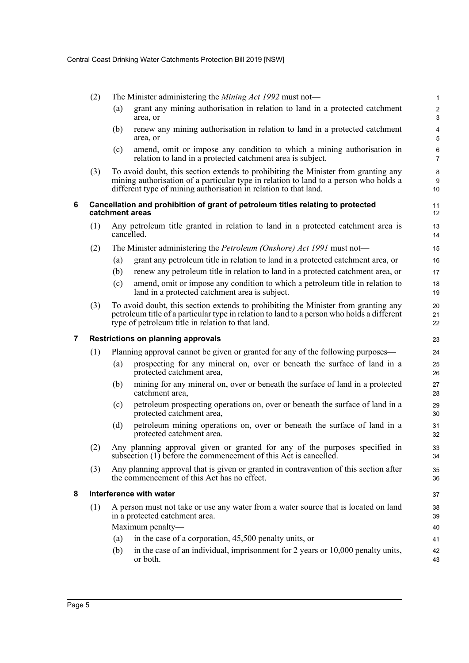<span id="page-7-2"></span><span id="page-7-1"></span><span id="page-7-0"></span>

|   | (2) |                         | The Minister administering the <i>Mining Act 1992</i> must not—                                                                                                                                                                                 | $\mathbf{1}$          |  |  |
|---|-----|-------------------------|-------------------------------------------------------------------------------------------------------------------------------------------------------------------------------------------------------------------------------------------------|-----------------------|--|--|
|   |     | (a)                     | grant any mining authorisation in relation to land in a protected catchment<br>area, or                                                                                                                                                         | $\boldsymbol{2}$<br>3 |  |  |
|   |     | (b)                     | renew any mining authorisation in relation to land in a protected catchment<br>area, or                                                                                                                                                         | 4<br>5                |  |  |
|   |     | (c)                     | amend, omit or impose any condition to which a mining authorisation in<br>relation to land in a protected catchment area is subject.                                                                                                            | 6<br>$\overline{7}$   |  |  |
|   | (3) |                         | To avoid doubt, this section extends to prohibiting the Minister from granting any<br>mining authorisation of a particular type in relation to land to a person who holds a<br>different type of mining authorisation in relation to that land. | 8<br>9<br>10          |  |  |
| 6 |     |                         | Cancellation and prohibition of grant of petroleum titles relating to protected<br>catchment areas                                                                                                                                              | 11<br>12              |  |  |
|   | (1) |                         | Any petroleum title granted in relation to land in a protected catchment area is<br>cancelled.                                                                                                                                                  | 13<br>14              |  |  |
|   | (2) |                         | The Minister administering the <i>Petroleum (Onshore) Act 1991</i> must not—                                                                                                                                                                    | 15                    |  |  |
|   |     | (a)                     | grant any petroleum title in relation to land in a protected catchment area, or                                                                                                                                                                 | 16                    |  |  |
|   |     | (b)                     | renew any petroleum title in relation to land in a protected catchment area, or                                                                                                                                                                 | 17                    |  |  |
|   |     | (c)                     | amend, omit or impose any condition to which a petroleum title in relation to<br>land in a protected catchment area is subject.                                                                                                                 | 18<br>19              |  |  |
|   | (3) |                         | To avoid doubt, this section extends to prohibiting the Minister from granting any<br>petroleum title of a particular type in relation to land to a person who holds a different<br>type of petroleum title in relation to that land.           | 20<br>21<br>22        |  |  |
| 7 |     |                         | <b>Restrictions on planning approvals</b>                                                                                                                                                                                                       | 23                    |  |  |
|   | (1) |                         | Planning approval cannot be given or granted for any of the following purposes—                                                                                                                                                                 | 24                    |  |  |
|   |     | (a)                     | prospecting for any mineral on, over or beneath the surface of land in a<br>protected catchment area,                                                                                                                                           | 25<br>26              |  |  |
|   |     | (b)                     | mining for any mineral on, over or beneath the surface of land in a protected<br>catchment area,                                                                                                                                                | 27<br>28              |  |  |
|   |     | (c)                     | petroleum prospecting operations on, over or beneath the surface of land in a<br>protected catchment area,                                                                                                                                      | 29<br>30              |  |  |
|   |     | (d)                     | petroleum mining operations on, over or beneath the surface of land in a<br>protected catchment area.                                                                                                                                           | 31<br>32              |  |  |
|   | (2) |                         | Any planning approval given or granted for any of the purposes specified in<br>subsection (1) before the commencement of this Act is cancelled.                                                                                                 | 33<br>34              |  |  |
|   | (3) |                         | Any planning approval that is given or granted in contravention of this section after<br>the commencement of this Act has no effect.                                                                                                            | 35<br>36              |  |  |
| 8 |     | Interference with water |                                                                                                                                                                                                                                                 |                       |  |  |
|   | (1) |                         | A person must not take or use any water from a water source that is located on land<br>in a protected catchment area.                                                                                                                           | 38<br>39              |  |  |
|   |     |                         | Maximum penalty-                                                                                                                                                                                                                                | 40                    |  |  |
|   |     | (a)                     | in the case of a corporation, 45,500 penalty units, or                                                                                                                                                                                          | 41                    |  |  |
|   |     |                         |                                                                                                                                                                                                                                                 |                       |  |  |
|   |     | (b)                     | in the case of an individual, imprisonment for 2 years or 10,000 penalty units,<br>or both.                                                                                                                                                     | 42<br>43              |  |  |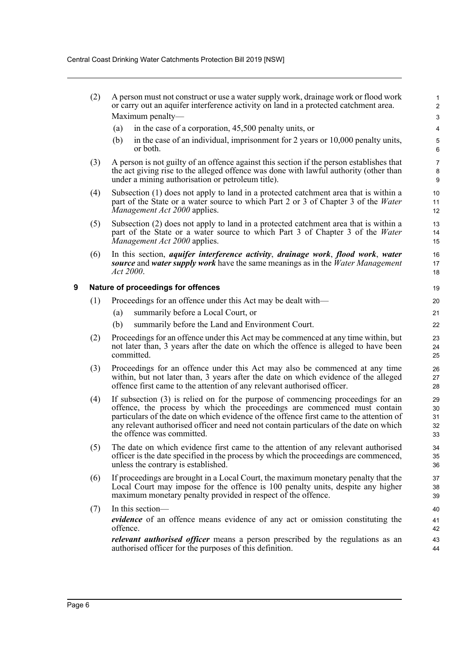<span id="page-8-0"></span>

|   | (2) | A person must not construct or use a water supply work, drainage work or flood work<br>or carry out an aquifer interference activity on land in a protected catchment area.                                                                                                                                                                                                   | $\mathbf{1}$<br>$\boldsymbol{2}$ |
|---|-----|-------------------------------------------------------------------------------------------------------------------------------------------------------------------------------------------------------------------------------------------------------------------------------------------------------------------------------------------------------------------------------|----------------------------------|
|   |     | Maximum penalty-                                                                                                                                                                                                                                                                                                                                                              | $\mathsf 3$                      |
|   |     | in the case of a corporation, 45,500 penalty units, or<br>(a)                                                                                                                                                                                                                                                                                                                 | 4                                |
|   |     | in the case of an individual, imprisonment for 2 years or 10,000 penalty units,<br>(b)<br>or both.                                                                                                                                                                                                                                                                            | 5<br>6                           |
|   | (3) | A person is not guilty of an offence against this section if the person establishes that<br>the act giving rise to the alleged offence was done with lawful authority (other than<br>under a mining authorisation or petroleum title).                                                                                                                                        | $\overline{7}$<br>$\bf 8$<br>9   |
|   | (4) | Subsection (1) does not apply to land in a protected catchment area that is within a<br>part of the State or a water source to which Part 2 or 3 of Chapter 3 of the Water<br>Management Act 2000 applies.                                                                                                                                                                    | 10<br>11<br>12                   |
|   | (5) | Subsection (2) does not apply to land in a protected catchment area that is within a<br>part of the State or a water source to which Part 3 of Chapter 3 of the Water<br>Management Act 2000 applies.                                                                                                                                                                         | 13<br>14<br>15                   |
|   | (6) | In this section, <i>aquifer interference activity</i> , <i>drainage work</i> , <i>flood work</i> , <i>water</i><br><b>source</b> and water supply work have the same meanings as in the <i>Water Management</i><br>Act 2000.                                                                                                                                                  | 16<br>17<br>18                   |
| 9 |     | Nature of proceedings for offences                                                                                                                                                                                                                                                                                                                                            | 19                               |
|   | (1) | Proceedings for an offence under this Act may be dealt with—                                                                                                                                                                                                                                                                                                                  | 20                               |
|   |     | summarily before a Local Court, or<br>(a)                                                                                                                                                                                                                                                                                                                                     | 21                               |
|   |     | (b)<br>summarily before the Land and Environment Court.                                                                                                                                                                                                                                                                                                                       | 22                               |
|   | (2) | Proceedings for an offence under this Act may be commenced at any time within, but<br>not later than, 3 years after the date on which the offence is alleged to have been<br>committed.                                                                                                                                                                                       | 23<br>24<br>25                   |
|   | (3) | Proceedings for an offence under this Act may also be commenced at any time<br>within, but not later than, 3 years after the date on which evidence of the alleged<br>offence first came to the attention of any relevant authorised officer.                                                                                                                                 | 26<br>27<br>28                   |
|   | (4) | If subsection (3) is relied on for the purpose of commencing proceedings for an<br>offence, the process by which the proceedings are commenced must contain<br>particulars of the date on which evidence of the offence first came to the attention of<br>any relevant authorised officer and need not contain particulars of the date on which<br>the offence was committed. | 29<br>30<br>31<br>32<br>33       |
|   | (5) | The date on which evidence first came to the attention of any relevant authorised<br>officer is the date specified in the process by which the proceedings are commenced,<br>unless the contrary is established.                                                                                                                                                              | 34<br>35<br>36                   |
|   | (6) | If proceedings are brought in a Local Court, the maximum monetary penalty that the<br>Local Court may impose for the offence is 100 penalty units, despite any higher<br>maximum monetary penalty provided in respect of the offence.                                                                                                                                         | 37<br>38<br>39                   |
|   | (7) | In this section-<br><i>evidence</i> of an offence means evidence of any act or omission constituting the<br>offence.                                                                                                                                                                                                                                                          | 40<br>41<br>42                   |
|   |     | <i>relevant authorised officer</i> means a person prescribed by the regulations as an<br>authorised officer for the purposes of this definition.                                                                                                                                                                                                                              | 43<br>44                         |
|   |     |                                                                                                                                                                                                                                                                                                                                                                               |                                  |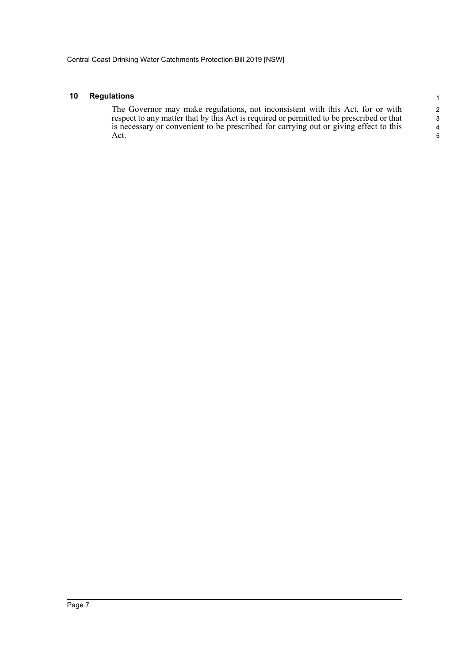#### <span id="page-9-0"></span>**10 Regulations**

The Governor may make regulations, not inconsistent with this Act, for or with respect to any matter that by this Act is required or permitted to be prescribed or that is necessary or convenient to be prescribed for carrying out or giving effect to this Act.